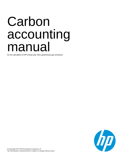# Carbon accounting manual

for the calculation of HP's fiscal year 2021 greenhouse gas emissions

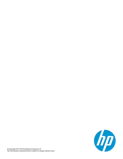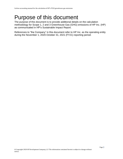# Purpose of this document

The purpose of this document is to provide additional details on the calculation methodology for Scope 1, 2 and 3 Greenhouse Gas (GHG) emissions of HP Inc. (HP) as communicated in HP's Sustainable Impact Report.

References to "the Company" in this document refer to HP Inc. as the operating entity during the November 1, 2020-October 31, 2021 (FY21) reporting period.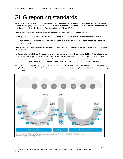# GHG reporting standards

Generally accepted GHG accounting principles exist to provide a standard basis for reporting a faithful, true and fair account of a company's GHG emissions. HP calculates its reported GHG emissions in accordance with the industry guidelines as developed by the World Resources Institute (WRI) GHG Protocol.

- For Scope 1 and 2 emissions reporting, HP utilizes The GHG Protocol Corporate Standard.
	- o Scope 1 is defined as direct GHG emissions occurring from sources that are owned or controlled by HP.
	- $\circ$  Scope 2 Indirect GHG emissions result from the generation of electricity, heat or steam generated off site but purchased by HP.
- For Scope 3 emissions reporting, HP utilizes The GHG Protocol Corporate Value Chain (Scope 3) Accounting and Reporting Standard.
	- o Scope 3 includes indirect GHG emissions from sources not owned or directly controlled by HP but related to our activities such as product use, vendor supply chains, delivery services, outsourced activities, and employee travel and commuting (other than travel in the Company's transportation fleet). Scope 3 emissions are a consequence of the activities of HP, but occur from sources not owned or controlled by the Company.

While GHG accounting and reporting principles continue to evolve, HP uses principles derived in part from generally accepted financial accounting and reporting principles, including relevance, completeness, consistency, transparency and accuracy.

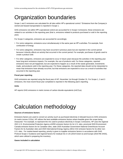# Organization boundaries

Scope 1 and 2 emissions are calculated for all sites within HP's operational control.<sup>1</sup> Emissions from the Company's owned and leased transportation is reported in Scope 1.

GHG emissions not within HP's operational control are accounted for in Scope 3 emissions; these emissions are related to our activities in the reporting year (that is, emissions related to products purchased or sold in the reporting year).

For Scope 3 categories, emissions are accounted for accordingly:

- For some categories, emissions occur simultaneously in the same year as HP's activities. For example, from combustion of energy.
- For some categories, emissions may have occurred in previous years but are reported in the current period because it directly affects an activity that occurred in the current period. For example, purchases of goods used to create a product sold.
- For other categories, emissions are expected to occur in future years because the activities in the reporting year have long-term emissions impacts. For example, the use of products sold. For these categories, reported emissions have not yet happened, but are expected to happen as a result of the waste generated, investments made, and products sold in the reporting year. For these categories, the reported data should not be interpreted to mean that emissions have already occurred, but that emissions are expected to occur as a result of activities that occurred in the reporting year.

#### **Fiscal year reporting**

GHG emissions are reported using the fiscal year of HP, November 1st through October 31. For Scope 1, 2 and 3 emissions, the most recent fiscal year completed is reported in the following year's reporting.

#### **Units**

HP reports GHG emissions in metric tonnes of carbon dioxide equivalents (mtCO<sub>2</sub>e).

# Calculation methodology

#### **Sources of emissions factors**

Emissions factors are used to convert an activity (such as purchased electricity in kilowatt-hours) to GHG emissions (in metric tonnes CO2e). HP utilizes the best available emissions factors where feasible given the scope being measured. <sup>2</sup>For example, to represent the mix used to produce electricity in Scope 2 emissions, HP uses the regional 2021 U.S. Environmental Protection Agency eGRID emission factors for its U.S. sites, provincial 2020 Environment Canada emission factors for its Canadian sites, state 2020 Australian Government National Greenhouse Account Factors for its Australian sites and 2020 International Energy Agency (IEA) CO2 emission factors for its other non-U.S. sites. For market-based reporting, priority is given to supplier emissions factors in accordance with GHG Protocol Scope 2 Guidance and regional factors for residual mix in US (2019 Green-e) and Europe (2019 RE-DISS), which were utilized in preparing the inventory.

#### **Gases included in calculation**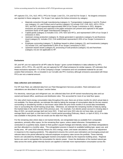HP captures CO<sub>2</sub>, CH<sub>4</sub>, N<sub>2</sub>O, HFCs, PFCs for Scope 1 and CO<sub>2</sub>, CH<sub>4</sub> and N<sub>2</sub>O for Scope 2. No biogenic emissions are reported in these categories. For Scope 3 we capture the below emissions by category:

- Materials extraction through manufacturing (category 1), Transportation (categories 4 and 9), Product use (category 11), and Product end of service (category 12) include CO2, CH4, N2O, HFCs, PFCs, SF6, and NF3, and represented approximately 99% of our Scope 3 emissions in 2021. Biogenic emissions are present and captured in the paper emissions are present and captured in the paper emissions factor of HP paper manufactured (category 1)
- Capital goods (category 2) includes CO2, CH4, N2O and HFCs, and represented 0.35% of our Scope 3 emissions in 2021.
- Upstream energy production (category 3), Waste generated in operations (category 5) and Business travel (category 6) includes CO2, CH4 andN2Oand represented 0.35% of our Scope 3 emissions in 2021.
- Employee commuting (category 7), Buildings leased to others (category 13), and Investments (category 15) include CO2, and represented 0.35% of our Scope 3 emissions in 2021.
- Upstream leased assets (category 8), processing of sold products (category 10) and franchises (category 14) are not applicable to HP.

#### **Exclusions**

 $SF<sub>6</sub>$  and NF<sub>3</sub> are not captured for all HP's sites for Scope 1 given current limitations in data collection by HP's vendors. HFCs, PFCs,  $SF_6$  and  $NF_3$  are not captured for HP's fleet emissions for similar reasons. HP estimates that these exclusions represent <1% of the Company's Scope 1 emissions and not considered material for car and aviation fleet emissions.  $SF_6$  is included in our Corvallis site PFC inventory although emissions associated with these PFCs are not a material amount.

#### **Data collection and estimations**

For HP Auto Fleet, we collected data from our Fleet Management Services providers. Fleet estimations and calculations are described in Scope 1 section below.

For electricity, natural gas and refrigerant use, we collected data from all HP-owned manufacturing sites and our owned and leased office, warehouse and distribution sites. This accounted for most of our total floor space.

For sites which track energy consumption data throughout the year, there are at times months for which actual data is not available. For these periods, we estimate this data by taking the average of consumption data for the two nearest surrounding or shouldering months or last known value within the prior three months if no actual data immediately near or surrounding the month lacking actual data. Otherwise, we estimate the remaining months of data by taking the tracked data in the same month of the previous year. For example, if an electric power account is missing data in May of 2021, we would average April and June 2021. If April and June 2021 also do not have data, we would average March and April, or look back to the 3 month period preceding (February, March, or April of 2021). If no data was available in that period, then we would use the data from May 2020

For the remaining sites where data is not tracked directly, we extrapolated data as available from comparable operations, primarily office space, for the remaining floor space, unless stated otherwise. Extrapolations are conducted on a quarterly basis, based on that quarter's square footage and intensity values. and these extrapolations are then allocated to a monthly value. This extrapolation process is based on available building type, space use, and facility area. HP used 2020 intensity factors for 2021 energy, water, and waste calculations, which is an adjustment in response to the ongoing pandemic. This adjustment ensures the current year estimations are leveraging actual and relevant data to the period affected by reduced employee occupancy rates across the portfolio. These intensity factors are calculated by dividing aggregate tracked consumption totals by the respective building areas. Regional factors are used to extrapolate the consumption for electric power. Given the distribution of the tracked natural gas data across the world, global intensity factors are applied to estimate more representative consumption across the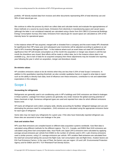portfolio. HP directly tracked data from invoices and other documents representing 95% of total electricity use and 90% of total natural gas use.

We continue to refine the process by which we collect data and calculate trends and evaluate the appropriateness of these methods on a source by source basis. Emissions from electricity in manufacturing space and vacant space (although the latter is not considered material) are calculated using a factor from EIA CBECS (Commercial Buildings Energy Consumption Survey) 2012 data. Emissions from natural gas for vacant space are calculated as 10% of the intensity factor for operational space.

In the instance where HP has acquired, merged with or divested from a company and the event meets HP's threshold for significance then HP's base year and subsequent year inventories will be adjusted according to guidance as set forth in HP's Inventory Management Plan<sup>3</sup> . In the instance where such an event does not meet HP's threshold for significance then HP will include consumption as of the month the acquisition or merger was closed or until the last month the divestiture was closed. Best efforts will be made to collect data, but in the instance where data is not available (e.g., due to lack of data for an acquired company) then these adjustments may be included one reporting year following the year in which an acquisition, merger and divestiture closed.

#### **De minimis values**

HP considers emissions values to be de minimis when they are less than 0.25% of total Scope 3 emissions. In addition to this quantitative reporting threshold, we also consider qualitative factors in regard to what data to report such as the ability to directly track data, level of influence over these emissions, contribution to risk and stakeholder expectations in this category.

### Scope 1

#### **Accounting for refrigerants**

Refrigerants are generally used in air-conditioning units in HP's buildings and GHG emissions are linked to leakages in these systems. Leakage from these systems are generally very small, however the global warming potential of these chemicals is high. Numerous refrigerant types are used and reported from sites for which different emissions factors exist.

HP tracks all refrigerant work orders company-wide, directly accounting for facilities' refrigerant leakage and use and eliminating the previous need for extrapolation., GHG emissions are calculated using the appropriate emissions factor for each type of refrigerant.

Some sites may not report any refrigerants for a given year. If the sites have historically reported refrigerant use, these sites are assumed to have zero leakage in the year.

#### **Auto and aviation fleet**

HP's auto fleet emissions are compiled based on different data acquisition systems worldwide. Auto fleet data is calculated using different methods for the different regions. The U.S., Canada, and EMEA fleet GHG emissions are calculated using direct fuel consumption data. Asia Pacific and Japan (APJ) emissions were calculated by applying average annual emissions per vehicle from EMEA to the number of vehicles used in APJ. Latin America emissions used a similar process, using U.S. average emissions per vehicle. HP's aviation fleet emissions are calculated from the total fuel consumed taking into account the flight route, fuel consumption rate and flight times. Aviation factors are EIA Fuel Emissions Factors. In the case of Fleet, the factors vary per region: US and LAR: Environmental Protection Agency and for EMEA and APJ: TUV Rheinland Fuel Density factors.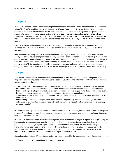### Scope 2

In 2021, HP reported Scope 2 emissions using both the Location-based and Market-based methods in accordance with WRI's GHG Protocol inclusive of the January 2015 Scope 2 Guidance. HP's overall electricity consumption reported in the Market-based method utilizes WRI's hierarchy of emission factor assignment: applying contractual instruments, supplier specific emission factors where provided by vendors, residual mixes for markets where available and lastly using regional or national grid factors for the balance of the portfolio. Under the Location-Based method, only regional and national grid mixes are utilized, and renewable energy has no effect or benefit to emission figures.

Residual Mix Note: For countries where a residual mix was not available, emissions were calculated using grid averages, which may result in double counting of voluntary purchases of renewable energy between electricity consumers.

HP's renewable electricity consists of three components: on-site generation, voluntary purchases of renewable energy and carbon neutral energy provided by utility suppliers. For on-site generation (such as solar), the renewable energy is metered separately and is included in our total consumption<sup>4</sup>. This amount of consumption is considered to have zero Scope 1 and Scope 2 emissions. Voluntary purchases include the purchase of unbundled renewable energy credits (RECs)<sup>5</sup>, participation in utility green power programs and renewable energy contracted through energy providers. Carbon Neutral Energy is the default product provided to all customers served by a specific utility.

### Scope 3

The World Business Council on Sustainable Development (WBCSD) has defined 15 scope 3 categories in the Corporate Value Chain (Scope 3) Accounting and Reporting Standard. The criteria for identifying relevant Scope 3 categories are the following;

- **Size**: The scope 3 category must contribute significantly to the company's total anticipated scope 3 emissions
- **Influence**: There are potential emissions reductions that could be undertaken or influenced by the company
- **Risk**: The Scope 3 category contributes to the company's risk exposure (e.g., climate change related risks such as financial, regulatory, supply chain, product and customer, litigation, and reputation risks)
- **Stakeholders**: The scope 3 category is deemed critical by key stakeholders (e.g., customers, suppliers, investors or civil society)
- **Outsourcing**: The scope 3 category is an outsourced activity previously performed in-house (or activities outsourced by the reporting company that are typically performed in-house by other companies in the reporting company's sector)

HP calculates its Scope 3 GHG emissions in accordance with the GHG Protocol, which defines 15 distinct categories of Scope 3 emissions and provides a systematic framework to organize, understand and report on Scope 3 activities within a corporate value chain.

HP uses LCA tools to calculate product-related impacts. An LCA evaluates all stages of a product's lifecycle using an inventory of relevant energy and material inputs and environmental releases. LCAs are designed to provide the total product carbon footprint (PCF) and a percentage breakdown of emissions among the four lifecycle stages: manufacturing, transport, use and end-of-service. HP completes a wide range of LCAs for products across its portfolio and which are representative of the high-volume products that the Company sells. HP uses different methods or models to calculate LCAs for the various types of products it sells.

Separate models that use HP-specific information have been created for the non-product related Scope 3 categories.

The following table provides additional details for each category: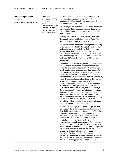#### **Purchased goods and services**

**(Extraction to production)**

Emissions associated with the extraction, production and transportation of the products HP sells in each of its major business groups.

HP uses separate LCA methods to calculate GHG emissions that represent more than 99% of HP product units shipped each year associated with the following product categories:

Personal systems, including HP desktops, notebooks, workstations, displays, digital signage, thin clients, tablets/slates, mobile computing devices and all-inone computers.

Printing, including HP LaserJet, Inkjet, PageWide, DesignJet, Indigo, and Scitex printers, PageWide presses, scanners, and Jet Fusion 3D printers.

Personal Systems product LCAs are generated using a new LCA tool hosted by the GaBi Envision software and supported by an underlying GaBi model which was developed by Sphera Solutions Inc., in conformance with the IS0 14040/44 standards. This new Personal Systems LCA tool allows for updated and refined LCA modelling based on HP-specific parameters.

The inputs to the Personal Systems LCA tool include such things as product and component attributes, product energy use and transport information, many of which can be found on the product data sheets. To calculate its overall personal systems PCF, HP uses the Personal Systems LCA tool to conduct PCFs for more than 95% of its commercial systems products by sales. These results are extrapolated to the volumes of 99% of HP consumer and commercial personal systems products shipped during the reporting year. HP personal systems products comprising the PCF calculations include notebooks, desktops, displays, digital signage, all-in-ones, workstations, thin clients and tablets. Calculators, retail point-of-sale units, personal systems accessories and other models below contribution threshold of 2.5% of total shipping are not considered in the calculation due the availability of lifecycle information and the estimated immateriality of associated emissions.

Printer LCAs for Inkjet, PageWide, DesignJet, and LaserJet products are prepared in conformance with ISO14040/14044 by Sphera Solutions, Inc. The LCA for the HP Jet Fusion 3D printer was prepared by EarthShift Global. The LCA for printer products includes the GHG emissions associated with pcartridges, over the lifetime of the product. Adjustments are made to the printer LCA outputs to account for use patterns as understood by HP. We have prepared as many LCAs as possible to represent the mix of our products, and the results are applied across the shipped volume of Inkjet, LaserJet, PageWide, DesignJet, Indigo, Scitex printers, PageWide presses and scanner products, as well as HP's Jet Fusion 3D printers. These results represent 99% of HP printing products shipped during the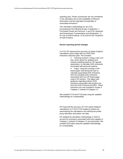reporting year. Printer accessories are not considered in the calculation due to the availability of lifecycle information and the estimated immateriality of associated emissions. 6

The calculation methodology for all LCAs encompasses the following Scope 3 categories: 1 Purchased Goods and Services; 4 and 9 for Upstream and Downstream Transportation and Distribution; 11 for Use of Sold Products; 12 for End-of-Life Treatment of Sold Products.

#### **Recent reporting period changes**

In FY21 HP improved the accuracy of carbon footprint calculations and to align with our 2030 GHG emissions reduction goal. This includes:

- Personal systems: Using a new LCA tool, which allows for updated and refined modeling based on HP-specific parameters, to calculate GHG emissions associated with personal systems.
- Paper: Using the tonnage of HP brand paper sold during the year to calculate associated GHG emissions, and not including GHG emissions associated with non-HP brand paper used in HP printers. This aligns with guidance regarding indirect GHG emissions associated with product use from the GHG Protocol and SBTi. These emissions are now included in Scope 3 Category 1 instead of Category 11.

We restated FY19 and FY20 data using the updated methodology for comparability.

HP improved the accuracy of FY20 carbon footprint calculations in FY19 & FY20 related to printers by automatizing the calculations and refining the printer proxy allocation and printer use data.

HP updated its calculation methodology in 2020 to account for emissions associated with print supplies in Category 1 instead of Category 11 (as previously). We restated 2019 data using the updated methodology, for comparability.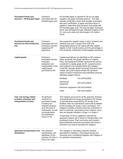| <b>Purchased Goods and</b><br><b>Services - HP Branded Paper</b>                  | Emissions<br>associated with HP<br>branded paper sold                                                                                                                                            | found.                                                                                                                                                                                                                                                                                                                                                                                                                                                                    | HP branded paper is reported to HP by our paper<br>suppliers and paper licensing partners. This data<br>includes certification status and tonnage <sup>o</sup> associated<br>with each certification. A paper emissions factor is<br>applied to determine total emissions associated with<br>HP branded paper sold. This internal paper emissions<br>factor was developed through statistical analysis of the<br>23 most up-to-date and robust paper LCA studies |
|-----------------------------------------------------------------------------------|--------------------------------------------------------------------------------------------------------------------------------------------------------------------------------------------------|---------------------------------------------------------------------------------------------------------------------------------------------------------------------------------------------------------------------------------------------------------------------------------------------------------------------------------------------------------------------------------------------------------------------------------------------------------------------------|------------------------------------------------------------------------------------------------------------------------------------------------------------------------------------------------------------------------------------------------------------------------------------------------------------------------------------------------------------------------------------------------------------------------------------------------------------------|
| <b>Purchased Goods and</b><br><b>Services for Non-Production</b><br><b>Use</b>    | Emissions<br>associated with non-<br>production services<br>supporting HP<br>operations.                                                                                                         |                                                                                                                                                                                                                                                                                                                                                                                                                                                                           | Non-production supplier Scope 1 and 2 emissions are<br>obtained one year in arrears from CDP and<br>extrapolated based on HP spend with that supplier<br>relative to their overall revenue and the percentage of<br>HP's business contribution to that suppliers emissions.                                                                                                                                                                                      |
| <b>Capital goods</b>                                                              | Emissions<br>associated with the<br>extraction,<br>production and<br>transportation of the<br>capital goods<br>purchased by HP.                                                                  | Capital expenditures are identified on HP's balance<br>sheet; generally, the goods identified in Property,<br>Plant, and Equipment (PP&E) represents the annual<br>investment in capital goods by HP. Leased furniture<br>and equipment are included within this category.<br>Using the Carnegie Mellon University Economic Input<br>Output Life Cycle Analysis model, the upstream<br>impact of these investments was estimated using the<br>following category factors: |                                                                                                                                                                                                                                                                                                                                                                                                                                                                  |
|                                                                                   |                                                                                                                                                                                                  | <b>Buildings</b>                                                                                                                                                                                                                                                                                                                                                                                                                                                          | 414 $mtCO2e/S1M$                                                                                                                                                                                                                                                                                                                                                                                                                                                 |
|                                                                                   |                                                                                                                                                                                                  | Mechanical<br>equipment                                                                                                                                                                                                                                                                                                                                                                                                                                                   | 529 mtCO <sub>2</sub> e/\$1M                                                                                                                                                                                                                                                                                                                                                                                                                                     |
|                                                                                   |                                                                                                                                                                                                  | Electronic equipment 256 mtCO <sub>2</sub> e/\$1M                                                                                                                                                                                                                                                                                                                                                                                                                         |                                                                                                                                                                                                                                                                                                                                                                                                                                                                  |
|                                                                                   |                                                                                                                                                                                                  | Other                                                                                                                                                                                                                                                                                                                                                                                                                                                                     | 358 mtCO <sub>2</sub> e/\$1M                                                                                                                                                                                                                                                                                                                                                                                                                                     |
| Fuel- and energy related<br>activities extraction and<br>transportation of fuels. | All upstream<br>emissions of<br>purchased energy,<br>including raw<br>material extraction<br>up to the point of<br>combustion, as well<br>as transportation<br>and distribution<br>losses (T+D). |                                                                                                                                                                                                                                                                                                                                                                                                                                                                           | This category accounts for all the upstream emission<br>associated with the energy purchased by HP (Scope<br>1) and electricity consumed by HP (Scope 2) for<br>facilities under our operational control and as defined<br>by the boundary for Scope 1 and 2 emissions. This<br>category excludes emissions from the combustion of<br>fuels or electricity consumed by the Company, since<br>they are already included in Scope 1 or Scope 2.                    |
|                                                                                   |                                                                                                                                                                                                  |                                                                                                                                                                                                                                                                                                                                                                                                                                                                           | A total factor of 22% is applied to estimate the<br>upstream impacts and is based on transportation and<br>distribution losses. Plant use losses and Location-<br>Based Methods emissions associated with Scope 2<br>emissions are used to calculate this category.                                                                                                                                                                                              |
| Upstream transportation and<br>distribution                                       | The upstream<br>transportation and<br>distribution of the<br>products HP sells in<br>each of its major                                                                                           | This category is calculated using the methods<br>described for Category 1 (Purchased Goods and<br>Services) and is considered together with Category 9<br>for upstream transportation.                                                                                                                                                                                                                                                                                    |                                                                                                                                                                                                                                                                                                                                                                                                                                                                  |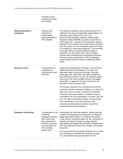| business groups,     |  |
|----------------------|--|
| including any retail |  |
| and storage.         |  |

| Waste generated in<br>operations | Disposal and<br>treatment of<br>nonhazardous<br>waste generated in<br>HP's facilities.                                                                                         | The total non-hazardous waste activity across HP is<br>reported in the annual Sustainable Impact Report. An<br>emissions factor determined by the U.S.<br>Environmental Protection Agency's (EPA) Waste<br>Reduction Model (WARM) is used to convert this to<br>GHG emissions. A portion of non-hazardous waste is<br>diverted from the waste stream and reused; emissions<br>from this portion are not considered at this time which<br>is considered a conservative approach. The emissions<br>associated with processing hazardous waste is<br>assumed to be de minimis given the low relative<br>volumes and comprehensive management practices<br>HP has in place as described in HP's Sustainable<br>Impact Report and Environment, Health and Safety<br>Policy. |  |
|----------------------------------|--------------------------------------------------------------------------------------------------------------------------------------------------------------------------------|------------------------------------------------------------------------------------------------------------------------------------------------------------------------------------------------------------------------------------------------------------------------------------------------------------------------------------------------------------------------------------------------------------------------------------------------------------------------------------------------------------------------------------------------------------------------------------------------------------------------------------------------------------------------------------------------------------------------------------------------------------------------|--|
| <b>Business travel</b>           | Transportation of<br>employees by<br>commercial air and<br>rail travel.                                                                                                        | Using the UK Department of Energy, Food and Rural<br>Affairs (DEFRA) methodology, for air travel, the<br>estimation takes into account the type of aircraft,<br>passenger load, cabin class and miles travelled for<br>each ticketed purchase. For rail, the estimation takes<br>into account the miles travelled and the rail supplier<br>information, to apply the emissions factors for rail<br>(Eurostar versus everyone else).                                                                                                                                                                                                                                                                                                                                    |  |
|                                  |                                                                                                                                                                                | HP includes emissions from commercial air and rail<br>travel but excludes emissions relating to car rental and<br>hotel stays since the data is currently not available.<br>Emissions from transportation in vehicles owned or<br>controlled by HP are accounted for in Scope 1 (for fuel<br>use). HP takes Sustainable Aviation Fuel purchases<br>into consideration in our total business travel<br>emissions by deducting the positive impact from<br>overall business travel emissions.                                                                                                                                                                                                                                                                            |  |
| <b>Employee commuting</b>        | Transportation of all<br>worldwide<br>employees between<br>their homes and<br>their worksites (in<br>vehicles not owned<br>and operations by<br>HP), including<br>remote work. | Assumptions for commute distance, vehicle type and<br>number of working days for employees are based on<br>badge data and the latest U.S. National Household<br>Travel Survey. Emissions factors for the conversion of<br>gasoline and other fuel types to carbon dioxide<br>equivalents are obtained from the EPA's Greenhouse<br>Gas Equivalencies and the IPCC Mobile Consumption<br>document.                                                                                                                                                                                                                                                                                                                                                                      |  |
|                                  |                                                                                                                                                                                | For remote work the household emissions for an eight-<br>hour workday are calculated by using the average<br>U.S. household energy per day times the IEA                                                                                                                                                                                                                                                                                                                                                                                                                                                                                                                                                                                                               |  |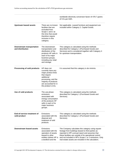|                                               |                                                                                                                                                                                    | worldwide electricity conversion factor of 478.7 grams<br>of CO <sub>2</sub> per kWh.                                                                                                                                                                                                                                                |  |
|-----------------------------------------------|------------------------------------------------------------------------------------------------------------------------------------------------------------------------------------|--------------------------------------------------------------------------------------------------------------------------------------------------------------------------------------------------------------------------------------------------------------------------------------------------------------------------------------|--|
| <b>Upstream leased assets</b>                 | There are no known<br>facilities that are<br>excluded from<br>Scope 1 and 2 at<br>this time that would<br>therefore require<br>inclusion in this<br>category.                      | Not applicable. Leased furniture and equipment are<br>included within Category 2. Capital Goods.                                                                                                                                                                                                                                     |  |
| Downstream transportation<br>and distribution | The downstream<br>transportation and<br>distribution of the<br>products HP sells in<br>each of its major<br>business groups,<br>including any retail<br>and storage.               | This category is calculated using the methods<br>described for Category 1 (Purchased Goods and<br>Services) and is considered together with Category 4<br>for upstream transportation.                                                                                                                                               |  |
| Processing of sold products                   | HP does not<br>currently have any<br>major product lines<br>that require<br>additional<br>processing, and the<br>majority of products<br>are accounted for in<br>the product LCAs. | It is assumed that this category is de minimis.                                                                                                                                                                                                                                                                                      |  |
| Use of sold products                          | The use-phase<br>emissions<br>associated with<br>energy consumption<br>of the products HP<br>sells in each of its<br>major business<br>groups.                                     | This category is calculated using the methods<br>described for Category 1 (Purchased Goods and<br>Services).                                                                                                                                                                                                                         |  |
| End-of-service treatment of<br>sold product   | Emissions<br>associated with the<br>disposal and<br>treatment of sold<br>products.                                                                                                 | This category is calculated using the methods<br>described for Category 1 (Purchased Goods and<br>Services).                                                                                                                                                                                                                         |  |
| <b>Downstream leased assets</b>               | Emissions<br>associated with the<br>operation of assets<br>leased to other<br>entities (where HP is<br>a landlord and the                                                          | The Company calculates this category using square<br>footage from buildings leased to third parties as<br>reported in HP's annual report and assumes that<br>these facilities are outside of its operational control<br>and not included in HP's Scope 1 or 2 emissions. Only<br>real estate assets are included in the calculation; |  |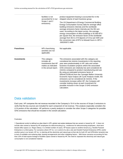|                    | facilities is not<br>accounted for in our<br>Scope 1 and 2<br>emissions).                           | product equipment leasing is accounted for in the<br>shipped volume of each business group.<br>The US Department of Energy Commercial Building<br>Energy Consumption Survey data for average office<br>building emissions intensity and the worldwide<br>average emissions factor intensity per the IEA are<br>used. According to the latest survey, the average<br>energy consumption of office buildings is 92,900 BTU                                                                                                                                                                                                                                                                                       |
|--------------------|-----------------------------------------------------------------------------------------------------|----------------------------------------------------------------------------------------------------------------------------------------------------------------------------------------------------------------------------------------------------------------------------------------------------------------------------------------------------------------------------------------------------------------------------------------------------------------------------------------------------------------------------------------------------------------------------------------------------------------------------------------------------------------------------------------------------------------|
|                    |                                                                                                     | per square foot, the emission factor of the worldwide<br>average from IEA is 474.8grams of CO <sub>2</sub> e per kWh and<br>the conversion rate of BTU to kilowatt hours is 1BTU -<br>.000293071 kWh.                                                                                                                                                                                                                                                                                                                                                                                                                                                                                                          |
| <b>Franchises</b>  | HP's franchising<br>activities are not<br>applicable.                                               | Not applicable.                                                                                                                                                                                                                                                                                                                                                                                                                                                                                                                                                                                                                                                                                                |
| <b>Investments</b> | This category<br>includes all<br>investments that HP<br>makes as indicated<br>in the annual report. | The emissions associated with this category are<br>considered de minimis Investments in the reporting<br>year were predominately in HP Labs and certain<br>business incubation projects where the associated<br>GHG emissions are relatively low and considered de<br>minimis compared to product manufacturing and use.<br>By using an estimated emissions factor of<br>565mtCO2/\$1mil from the Carnegie Mellon University<br>Economic Input Output Life Cycle Analysis model, the<br>emissions can be considered de minimis. If the<br>investments increase within HP, the Company will<br>consider looking closer at each investment for<br>possible inclusion in the Scope 3 GHG emission<br>calculation. |

### Data validation

Each year, HP compares the net revenue recorded in the Company's 10-K to the sources of Scope 3 emissions to verify that the key sources are included for each component of net revenue. This analysis especially considers the LCA portion of the calculation. HP performs a yearly analysis to consider the other Scope 3 categories for possible GHG emissions that should be included in the overall calculation.

#### Footnotes:

1 Operational control is defined as sites listed in HP's global real estate database that are owned or leased by HP. It does not include sites owned or leased by HP employees for telecommuting (e.g., residences for telecommuting employees, short-term leased office space (i.e. Regus Sites)). In a limited number of cases, HP leases space to another tenant (e.g. Hewlett Packard Enterprise or a third party). For scenarios where HP Inc. is in control of a site a site and Hewlett Packard Enterprise (HPE) and/or another party is our tenant, HP Inc. is claiming all the electricity and natural gas at that site for both HP and HPE/other tenant(s) due to lack of available sub-metering data, leasing arrangements and other mitigating factors. With these scenarios accounting for less than 10% of total square footage of facilities space owned or leased by HP, the need to separate this electricity and natural gas consumption is not considered material.